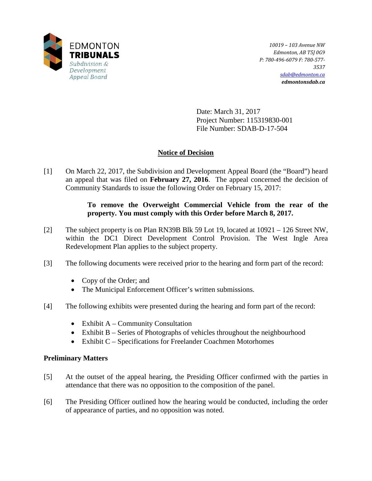

*10019 – 103 Avenue NW Edmonton, AB T5J 0G9 P: 780-496-6079 F: 780-577- 3537 [sdab@edmonton.ca](mailto:sdab@edmonton.ca) edmontonsdab.ca*

Date: March 31, 2017 Project Number: 115319830-001 File Number: SDAB-D-17-504

# **Notice of Decision**

[1] On March 22, 2017, the Subdivision and Development Appeal Board (the "Board") heard an appeal that was filed on **February 27, 2016**. The appeal concerned the decision of Community Standards to issue the following Order on February 15, 2017:

## **To remove the Overweight Commercial Vehicle from the rear of the property. You must comply with this Order before March 8, 2017.**

- [2] The subject property is on Plan RN39B Blk 59 Lot 19, located at 10921 126 Street NW, within the DC1 Direct Development Control Provision. The West Ingle Area Redevelopment Plan applies to the subject property.
- [3] The following documents were received prior to the hearing and form part of the record:
	- Copy of the Order; and
	- The Municipal Enforcement Officer's written submissions.
- [4] The following exhibits were presented during the hearing and form part of the record:
	- Exhibit  $A -$  Community Consultation
	- Exhibit B Series of Photographs of vehicles throughout the neighbourhood
	- Exhibit C Specifications for Freelander Coachmen Motorhomes

### **Preliminary Matters**

- [5] At the outset of the appeal hearing, the Presiding Officer confirmed with the parties in attendance that there was no opposition to the composition of the panel.
- [6] The Presiding Officer outlined how the hearing would be conducted, including the order of appearance of parties, and no opposition was noted.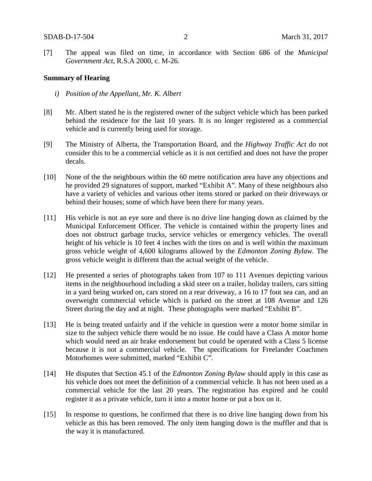[7] The appeal was filed on time, in accordance with Section 686 of the *Municipal Government Act*, R.S.A 2000, c. M-26.

#### **Summary of Hearing**

- *i) Position of the Appellant, Mr. K. Albert*
- [8] Mr. Albert stated he is the registered owner of the subject vehicle which has been parked behind the residence for the last 10 years. It is no longer registered as a commercial vehicle and is currently being used for storage.
- [9] The Ministry of Alberta, the Transportation Board, and the *Highway Traffic Act* do not consider this to be a commercial vehicle as it is not certified and does not have the proper decals.
- [10] None of the the neighbours within the 60 metre notification area have any objections and he provided 29 signatures of support, marked "Exhibit A". Many of these neighbours also have a variety of vehicles and various other items stored or parked on their driveways or behind their houses; some of which have been there for many years.
- [11] His vehicle is not an eye sore and there is no drive line hanging down as claimed by the Municipal Enforcement Officer. The vehicle is contained within the property lines and does not obstruct garbage trucks, service vehicles or emergency vehicles. The overall height of his vehicle is 10 feet 4 inches with the tires on and is well within the maximum gross vehicle weight of 4,600 kilograms allowed by the *Edmonton Zoning Bylaw*. The gross vehicle weight is different than the actual weight of the vehicle.
- [12] He presented a series of photographs taken from 107 to 111 Avenues depicting various items in the neighbourhood including a skid steer on a trailer, holiday trailers, cars sitting in a yard being worked on, cars stored on a rear driveway, a 16 to 17 foot sea can, and an overweight commercial vehicle which is parked on the street at 108 Avenue and 126 Street during the day and at night. These photographs were marked "Exhibit B".
- [13] He is being treated unfairly and if the vehicle in question were a motor home similar in size to the subject vehicle there would be no issue. He could have a Class A motor home which would need an air brake endorsement but could be operated with a Class 5 license because it is not a commercial vehicle. The specifications for Freelander Coachmen Motorhomes were submitted, marked "Exhibit C".
- [14] He disputes that Section 45.1 of the *Edmonton Zoning Bylaw* should apply in this case as his vehicle does not meet the definition of a commercial vehicle. It has not been used as a commercial vehicle for the last 20 years. The registration has expired and he could register it as a private vehicle, turn it into a motor home or put a box on it.
- [15] In response to questions, he confirmed that there is no drive line hanging down from his vehicle as this has been removed. The only item hanging down is the muffler and that is the way it is manufactured.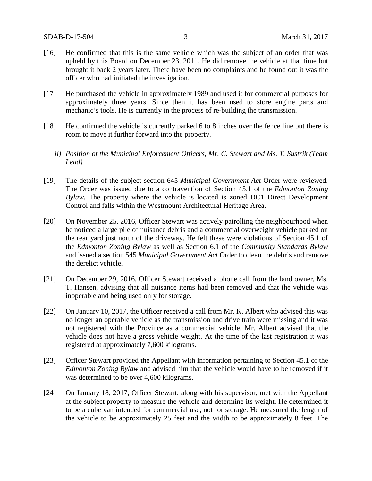- [16] He confirmed that this is the same vehicle which was the subject of an order that was upheld by this Board on December 23, 2011. He did remove the vehicle at that time but brought it back 2 years later. There have been no complaints and he found out it was the officer who had initiated the investigation.
- [17] He purchased the vehicle in approximately 1989 and used it for commercial purposes for approximately three years. Since then it has been used to store engine parts and mechanic's tools. He is currently in the process of re-building the transmission.
- [18] He confirmed the vehicle is currently parked 6 to 8 inches over the fence line but there is room to move it further forward into the property.
	- *ii) Position of the Municipal Enforcement Officers, Mr. C. Stewart and Ms. T. Sustrik (Team Lead)*
- [19] The details of the subject section 645 *Municipal Government Act* Order were reviewed. The Order was issued due to a contravention of Section 45.1 of the *Edmonton Zoning Bylaw.* The property where the vehicle is located is zoned DC1 Direct Development Control and falls within the Westmount Architectural Heritage Area.
- [20] On November 25, 2016, Officer Stewart was actively patrolling the neighbourhood when he noticed a large pile of nuisance debris and a commercial overweight vehicle parked on the rear yard just north of the driveway. He felt these were violations of Section 45.1 of the *Edmonton Zoning Bylaw* as well as Section 6.1 of the *Community Standards Bylaw* and issued a section 545 *Municipal Government Act* Order to clean the debris and remove the derelict vehicle.
- [21] On December 29, 2016, Officer Stewart received a phone call from the land owner, Ms. T. Hansen, advising that all nuisance items had been removed and that the vehicle was inoperable and being used only for storage.
- [22] On January 10, 2017, the Officer received a call from Mr. K. Albert who advised this was no longer an operable vehicle as the transmission and drive train were missing and it was not registered with the Province as a commercial vehicle. Mr. Albert advised that the vehicle does not have a gross vehicle weight. At the time of the last registration it was registered at approximately 7,600 kilograms.
- [23] Officer Stewart provided the Appellant with information pertaining to Section 45.1 of the *Edmonton Zoning Bylaw* and advised him that the vehicle would have to be removed if it was determined to be over 4,600 kilograms.
- [24] On January 18, 2017, Officer Stewart, along with his supervisor, met with the Appellant at the subject property to measure the vehicle and determine its weight. He determined it to be a cube van intended for commercial use, not for storage. He measured the length of the vehicle to be approximately 25 feet and the width to be approximately 8 feet. The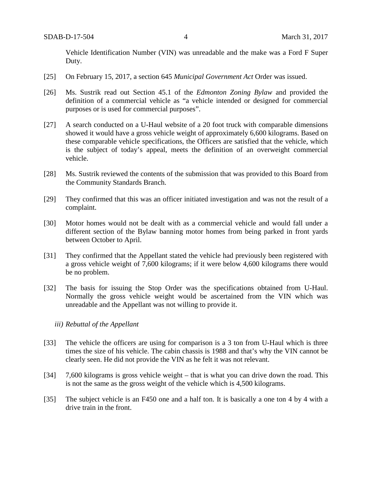Vehicle Identification Number (VIN) was unreadable and the make was a Ford F Super Duty.

- [25] On February 15, 2017, a section 645 *Municipal Government Act* Order was issued.
- [26] Ms. Sustrik read out Section 45.1 of the *Edmonton Zoning Bylaw* and provided the definition of a commercial vehicle as "a vehicle intended or designed for commercial purposes or is used for commercial purposes".
- [27] A search conducted on a U-Haul website of a 20 foot truck with comparable dimensions showed it would have a gross vehicle weight of approximately 6,600 kilograms. Based on these comparable vehicle specifications, the Officers are satisfied that the vehicle, which is the subject of today's appeal, meets the definition of an overweight commercial vehicle.
- [28] Ms. Sustrik reviewed the contents of the submission that was provided to this Board from the Community Standards Branch.
- [29] They confirmed that this was an officer initiated investigation and was not the result of a complaint.
- [30] Motor homes would not be dealt with as a commercial vehicle and would fall under a different section of the Bylaw banning motor homes from being parked in front yards between October to April.
- [31] They confirmed that the Appellant stated the vehicle had previously been registered with a gross vehicle weight of 7,600 kilograms; if it were below 4,600 kilograms there would be no problem.
- [32] The basis for issuing the Stop Order was the specifications obtained from U-Haul. Normally the gross vehicle weight would be ascertained from the VIN which was unreadable and the Appellant was not willing to provide it.

#### *iii) Rebuttal of the Appellant*

- [33] The vehicle the officers are using for comparison is a 3 ton from U-Haul which is three times the size of his vehicle. The cabin chassis is 1988 and that's why the VIN cannot be clearly seen. He did not provide the VIN as he felt it was not relevant.
- [34] 7,600 kilograms is gross vehicle weight that is what you can drive down the road. This is not the same as the gross weight of the vehicle which is 4,500 kilograms.
- [35] The subject vehicle is an F450 one and a half ton. It is basically a one ton 4 by 4 with a drive train in the front.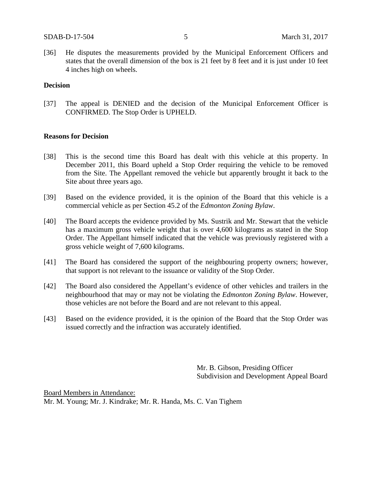[36] He disputes the measurements provided by the Municipal Enforcement Officers and states that the overall dimension of the box is 21 feet by 8 feet and it is just under 10 feet 4 inches high on wheels.

#### **Decision**

[37] The appeal is DENIED and the decision of the Municipal Enforcement Officer is CONFIRMED. The Stop Order is UPHELD.

#### **Reasons for Decision**

- [38] This is the second time this Board has dealt with this vehicle at this property. In December 2011, this Board upheld a Stop Order requiring the vehicle to be removed from the Site. The Appellant removed the vehicle but apparently brought it back to the Site about three years ago.
- [39] Based on the evidence provided, it is the opinion of the Board that this vehicle is a commercial vehicle as per Section 45.2 of the *Edmonton Zoning Bylaw*.
- [40] The Board accepts the evidence provided by Ms. Sustrik and Mr. Stewart that the vehicle has a maximum gross vehicle weight that is over 4,600 kilograms as stated in the Stop Order. The Appellant himself indicated that the vehicle was previously registered with a gross vehicle weight of 7,600 kilograms.
- [41] The Board has considered the support of the neighbouring property owners; however, that support is not relevant to the issuance or validity of the Stop Order.
- [42] The Board also considered the Appellant's evidence of other vehicles and trailers in the neighbourhood that may or may not be violating the *Edmonton Zoning Bylaw*. However, those vehicles are not before the Board and are not relevant to this appeal.
- [43] Based on the evidence provided, it is the opinion of the Board that the Stop Order was issued correctly and the infraction was accurately identified.

Mr. B. Gibson, Presiding Officer Subdivision and Development Appeal Board

Board Members in Attendance: Mr. M. Young; Mr. J. Kindrake; Mr. R. Handa, Ms. C. Van Tighem